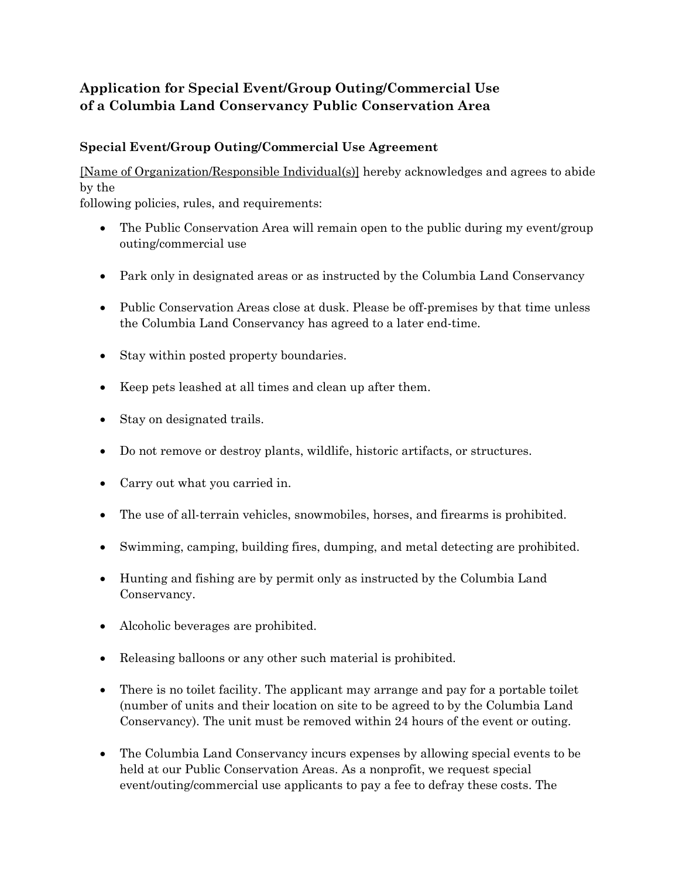## **Application for Special Event/Group Outing/Commercial Use of a Columbia Land Conservancy Public Conservation Area**

## **Special Event/Group Outing/Commercial Use Agreement**

[Name of Organization/Responsible Individual(s)] hereby acknowledges and agrees to abide by the

following policies, rules, and requirements:

- The Public Conservation Area will remain open to the public during my event/group outing/commercial use
- Park only in designated areas or as instructed by the Columbia Land Conservancy
- Public Conservation Areas close at dusk. Please be off-premises by that time unless the Columbia Land Conservancy has agreed to a later end-time.
- Stay within posted property boundaries.
- Keep pets leashed at all times and clean up after them.
- Stay on designated trails.
- Do not remove or destroy plants, wildlife, historic artifacts, or structures.
- Carry out what you carried in.
- The use of all-terrain vehicles, snowmobiles, horses, and firearms is prohibited.
- Swimming, camping, building fires, dumping, and metal detecting are prohibited.
- Hunting and fishing are by permit only as instructed by the Columbia Land Conservancy.
- Alcoholic beverages are prohibited.
- Releasing balloons or any other such material is prohibited.
- There is no toilet facility. The applicant may arrange and pay for a portable toilet (number of units and their location on site to be agreed to by the Columbia Land Conservancy). The unit must be removed within 24 hours of the event or outing.
- The Columbia Land Conservancy incurs expenses by allowing special events to be held at our Public Conservation Areas. As a nonprofit, we request special event/outing/commercial use applicants to pay a fee to defray these costs. The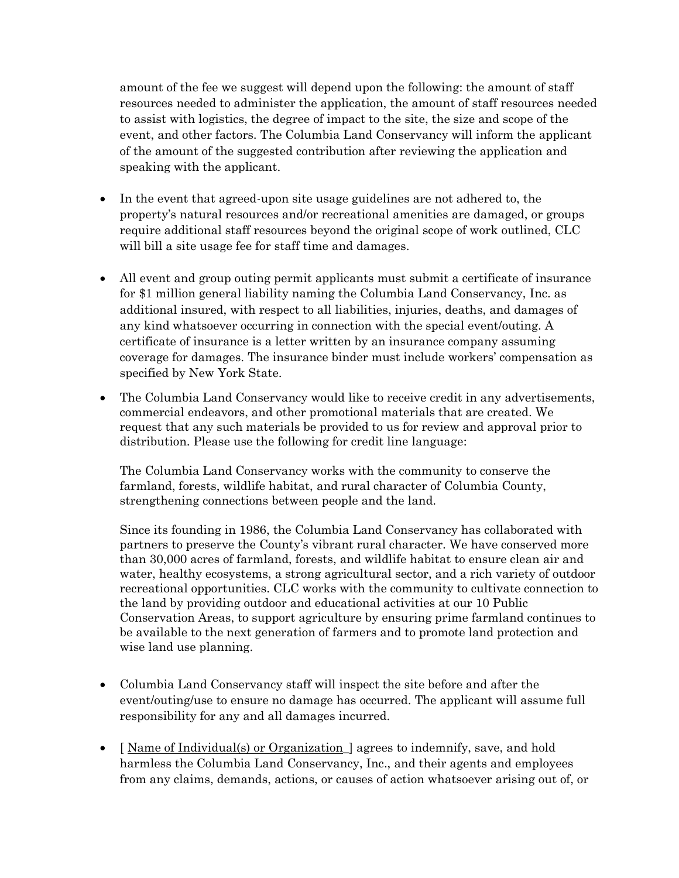amount of the fee we suggest will depend upon the following: the amount of staff resources needed to administer the application, the amount of staff resources needed to assist with logistics, the degree of impact to the site, the size and scope of the event, and other factors. The Columbia Land Conservancy will inform the applicant of the amount of the suggested contribution after reviewing the application and speaking with the applicant.

- In the event that agreed-upon site usage guidelines are not adhered to, the property's natural resources and/or recreational amenities are damaged, or groups require additional staff resources beyond the original scope of work outlined, CLC will bill a site usage fee for staff time and damages.
- All event and group outing permit applicants must submit a certificate of insurance for \$1 million general liability naming the Columbia Land Conservancy, Inc. as additional insured, with respect to all liabilities, injuries, deaths, and damages of any kind whatsoever occurring in connection with the special event/outing. A certificate of insurance is a letter written by an insurance company assuming coverage for damages. The insurance binder must include workers' compensation as specified by New York State.
- The Columbia Land Conservancy would like to receive credit in any advertisements, commercial endeavors, and other promotional materials that are created. We request that any such materials be provided to us for review and approval prior to distribution. Please use the following for credit line language:

The Columbia Land Conservancy works with the community to conserve the farmland, forests, wildlife habitat, and rural character of Columbia County, strengthening connections between people and the land.

Since its founding in 1986, the Columbia Land Conservancy has collaborated with partners to preserve the County's vibrant rural character. We have conserved more than 30,000 acres of farmland, forests, and wildlife habitat to ensure clean air and water, healthy ecosystems, a strong agricultural sector, and a rich variety of outdoor recreational opportunities. CLC works with the community to cultivate connection to the land by providing outdoor and educational activities at our 10 Public Conservation Areas, to support agriculture by ensuring prime farmland continues to be available to the next generation of farmers and to promote land protection and wise land use planning.

- Columbia Land Conservancy staff will inspect the site before and after the event/outing/use to ensure no damage has occurred. The applicant will assume full responsibility for any and all damages incurred.
- I Name of Individual(s) or Organization agrees to indemnify, save, and hold harmless the Columbia Land Conservancy, Inc., and their agents and employees from any claims, demands, actions, or causes of action whatsoever arising out of, or